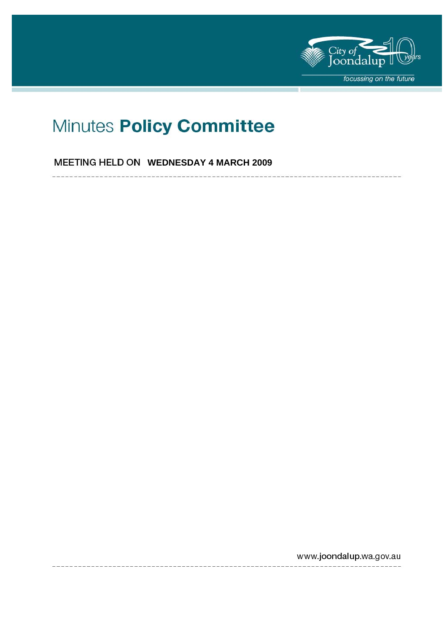

# Minutes Policy Committee

**MEETING HELD ON WEDNESDAY 4 MARCH 2009** 

www.joondalup.wa.gov.au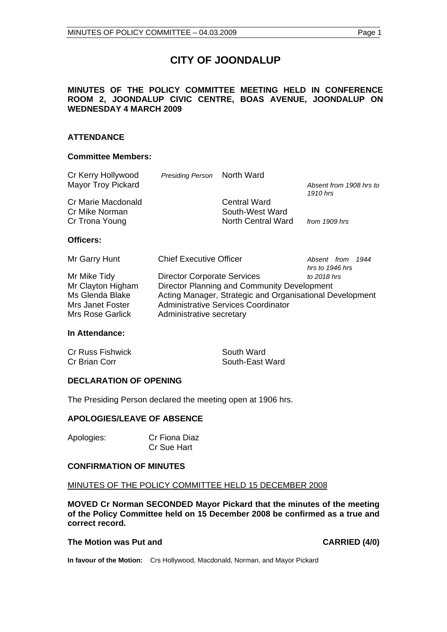# **CITY OF JOONDALUP**

#### **MINUTES OF THE POLICY COMMITTEE MEETING HELD IN CONFERENCE ROOM 2, JOONDALUP CIVIC CENTRE, BOAS AVENUE, JOONDALUP ON WEDNESDAY 4 MARCH 2009**

#### **ATTENDANCE**

#### **Committee Members:**

| Cr Kerry Hollywood                   | Presiding Person                   | North Ward                                               |                                     |
|--------------------------------------|------------------------------------|----------------------------------------------------------|-------------------------------------|
| <b>Mayor Troy Pickard</b>            |                                    |                                                          | Absent from 1908 hrs to<br>1910 hrs |
| Cr Marie Macdonald<br>Cr Mike Norman |                                    | <b>Central Ward</b><br>South-West Ward                   |                                     |
| Cr Trona Young                       |                                    | North Central Ward                                       | from 1909 hrs                       |
| Officers:                            |                                    |                                                          |                                     |
| Mr Garry Hunt                        | <b>Chief Executive Officer</b>     |                                                          | Absent from 1944<br>hrs to 1946 hrs |
| Mr Mike Tidy                         | <b>Director Corporate Services</b> |                                                          | to 2018 hrs                         |
| Mr Clayton Higham                    |                                    | Director Planning and Community Development              |                                     |
| Ms Glenda Blake                      |                                    | Acting Manager, Strategic and Organisational Development |                                     |
| Mrs Janet Foster                     |                                    | Administrative Services Coordinator                      |                                     |
| Mrs Rose Garlick                     | Administrative secretary           |                                                          |                                     |
|                                      |                                    |                                                          |                                     |

#### **In Attendance:**

| <b>Cr Russ Fishwick</b> | South Ward      |
|-------------------------|-----------------|
| Cr Brian Corr           | South-East Ward |

#### **DECLARATION OF OPENING**

The Presiding Person declared the meeting open at 1906 hrs.

#### **APOLOGIES/LEAVE OF ABSENCE**

| Apologies: | Cr Fiona Diaz |
|------------|---------------|
|            | Cr Sue Hart   |

#### **CONFIRMATION OF MINUTES**

#### MINUTES OF THE POLICY COMMITTEE HELD 15 DECEMBER 2008

**MOVED Cr Norman SECONDED Mayor Pickard that the minutes of the meeting of the Policy Committee held on 15 December 2008 be confirmed as a true and correct record.** 

#### The Motion was Put and **CARRIED** (4/0)

**In favour of the Motion:** Crs Hollywood, Macdonald, Norman, and Mayor Pickard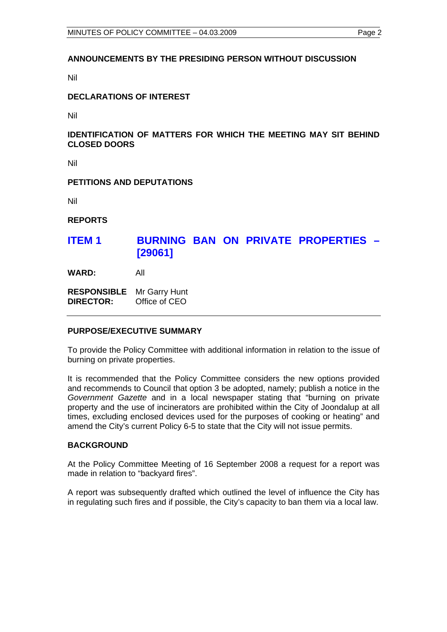#### **ANNOUNCEMENTS BY THE PRESIDING PERSON WITHOUT DISCUSSION**

Nil

#### **DECLARATIONS OF INTEREST**

Nil

#### **IDENTIFICATION OF MATTERS FOR WHICH THE MEETING MAY SIT BEHIND CLOSED DOORS**

Nil

#### **PETITIONS AND DEPUTATIONS**

Nil

**REPORTS** 

## **ITEM 1 BURNING BAN ON PRIVATE PROPERTIES – [29061]**

**WARD:** All

**RESPONSIBLE** Mr Garry Hunt **DIRECTOR:** Office of CEO

#### **PURPOSE/EXECUTIVE SUMMARY**

To provide the Policy Committee with additional information in relation to the issue of burning on private properties.

It is recommended that the Policy Committee considers the new options provided and recommends to Council that option 3 be adopted, namely; publish a notice in the *Government Gazette* and in a local newspaper stating that "burning on private property and the use of incinerators are prohibited within the City of Joondalup at all times, excluding enclosed devices used for the purposes of cooking or heating" and amend the City's current Policy 6-5 to state that the City will not issue permits.

#### **BACKGROUND**

At the Policy Committee Meeting of 16 September 2008 a request for a report was made in relation to "backyard fires".

A report was subsequently drafted which outlined the level of influence the City has in regulating such fires and if possible, the City's capacity to ban them via a local law.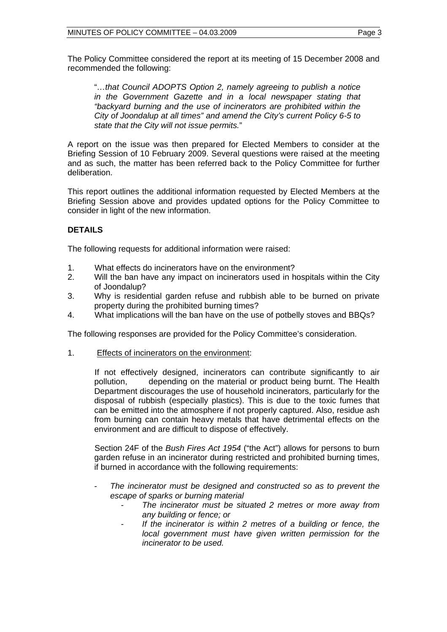The Policy Committee considered the report at its meeting of 15 December 2008 and recommended the following:

"*…that Council ADOPTS Option 2, namely agreeing to publish a notice in the Government Gazette and in a local newspaper stating that "backyard burning and the use of incinerators are prohibited within the City of Joondalup at all times" and amend the City's current Policy 6-5 to state that the City will not issue permits.*"

A report on the issue was then prepared for Elected Members to consider at the Briefing Session of 10 February 2009. Several questions were raised at the meeting and as such, the matter has been referred back to the Policy Committee for further deliberation.

This report outlines the additional information requested by Elected Members at the Briefing Session above and provides updated options for the Policy Committee to consider in light of the new information.

### **DETAILS**

The following requests for additional information were raised:

- 1. What effects do incinerators have on the environment?
- 2. Will the ban have any impact on incinerators used in hospitals within the City of Joondalup?
- 3. Why is residential garden refuse and rubbish able to be burned on private property during the prohibited burning times?
- 4. What implications will the ban have on the use of potbelly stoves and BBQs?

The following responses are provided for the Policy Committee's consideration.

1. Effects of incinerators on the environment:

 If not effectively designed, incinerators can contribute significantly to air pollution, depending on the material or product being burnt. The Health Department discourages the use of household incinerators, particularly for the disposal of rubbish (especially plastics). This is due to the toxic fumes that can be emitted into the atmosphere if not properly captured. Also, residue ash from burning can contain heavy metals that have detrimental effects on the environment and are difficult to dispose of effectively.

 Section 24F of the *Bush Fires Act 1954* ("the Act") allows for persons to burn garden refuse in an incinerator during restricted and prohibited burning times, if burned in accordance with the following requirements:

- *The incinerator must be designed and constructed so as to prevent the escape of sparks or burning material* 
	- *The incinerator must be situated 2 metres or more away from any building or fence; or*
	- *If the incinerator is within 2 metres of a building or fence, the local government must have given written permission for the incinerator to be used.*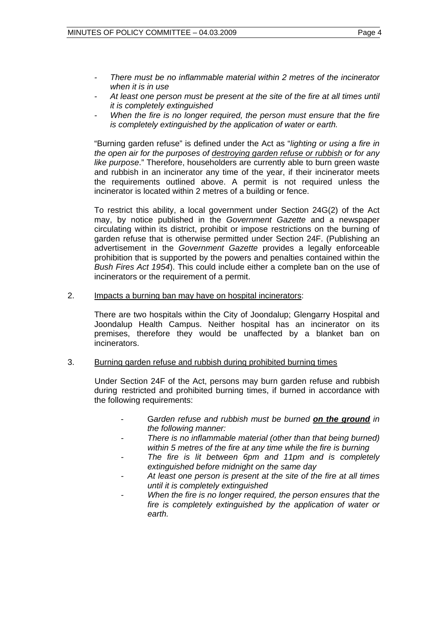- *There must be no inflammable material within 2 metres of the incinerator when it is in use*
- *At least one person must be present at the site of the fire at all times until it is completely extinguished*
- *When the fire is no longer required, the person must ensure that the fire is completely extinguished by the application of water or earth.*

"Burning garden refuse" is defined under the Act as "*lighting or using a fire in the open air for the purposes of destroying garden refuse or rubbish or for any like purpose*." Therefore, householders are currently able to burn green waste and rubbish in an incinerator any time of the year, if their incinerator meets the requirements outlined above. A permit is not required unless the incinerator is located within 2 metres of a building or fence.

To restrict this ability, a local government under Section 24G(2) of the Act may, by notice published in the *Government Gazette* and a newspaper circulating within its district, prohibit or impose restrictions on the burning of garden refuse that is otherwise permitted under Section 24F. (Publishing an advertisement in the *Government Gazette* provides a legally enforceable prohibition that is supported by the powers and penalties contained within the *Bush Fires Act 1954*). This could include either a complete ban on the use of incinerators or the requirement of a permit.

2. Impacts a burning ban may have on hospital incinerators:

There are two hospitals within the City of Joondalup; Glengarry Hospital and Joondalup Health Campus. Neither hospital has an incinerator on its premises, therefore they would be unaffected by a blanket ban on incinerators.

#### 3. Burning garden refuse and rubbish during prohibited burning times

 Under Section 24F of the Act, persons may burn garden refuse and rubbish during restricted and prohibited burning times, if burned in accordance with the following requirements:

- G*arden refuse and rubbish must be burned on the ground in the following manner:*
- *There is no inflammable material (other than that being burned) within 5 metres of the fire at any time while the fire is burning*
- *The fire is lit between 6pm and 11pm and is completely extinguished before midnight on the same day*
- *At least one person is present at the site of the fire at all times until it is completely extinguished*
- *When the fire is no longer required, the person ensures that the fire is completely extinguished by the application of water or earth.*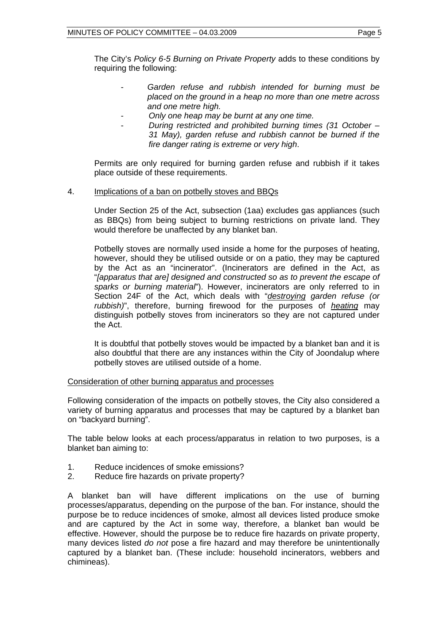The City's *Policy 6-5 Burning on Private Property* adds to these conditions by requiring the following:

- *Garden refuse and rubbish intended for burning must be placed on the ground in a heap no more than one metre across and one metre high.*
- *Only one heap may be burnt at any one time.*
- *During restricted and prohibited burning times (31 October 31 May), garden refuse and rubbish cannot be burned if the fire danger rating is extreme or very high*.

Permits are only required for burning garden refuse and rubbish if it takes place outside of these requirements.

#### 4. Implications of a ban on potbelly stoves and BBQs

 Under Section 25 of the Act, subsection (1aa) excludes gas appliances (such as BBQs) from being subject to burning restrictions on private land. They would therefore be unaffected by any blanket ban.

 Potbelly stoves are normally used inside a home for the purposes of heating, however, should they be utilised outside or on a patio, they may be captured by the Act as an "incinerator". (Incinerators are defined in the Act, as "*[apparatus that are] designed and constructed so as to prevent the escape of sparks or burning material*"). However, incinerators are only referred to in Section 24F of the Act, which deals with "*destroying garden refuse (or rubbish)*", therefore, burning firewood for the purposes of *heating* may distinguish potbelly stoves from incinerators so they are not captured under the Act.

 It is doubtful that potbelly stoves would be impacted by a blanket ban and it is also doubtful that there are any instances within the City of Joondalup where potbelly stoves are utilised outside of a home.

#### Consideration of other burning apparatus and processes

Following consideration of the impacts on potbelly stoves, the City also considered a variety of burning apparatus and processes that may be captured by a blanket ban on "backyard burning".

The table below looks at each process/apparatus in relation to two purposes, is a blanket ban aiming to:

- 1. Reduce incidences of smoke emissions?
- 2. Reduce fire hazards on private property?

A blanket ban will have different implications on the use of burning processes/apparatus, depending on the purpose of the ban. For instance, should the purpose be to reduce incidences of smoke, almost all devices listed produce smoke and are captured by the Act in some way, therefore, a blanket ban would be effective. However, should the purpose be to reduce fire hazards on private property, many devices listed *do not* pose a fire hazard and may therefore be unintentionally captured by a blanket ban. (These include: household incinerators, webbers and chimineas).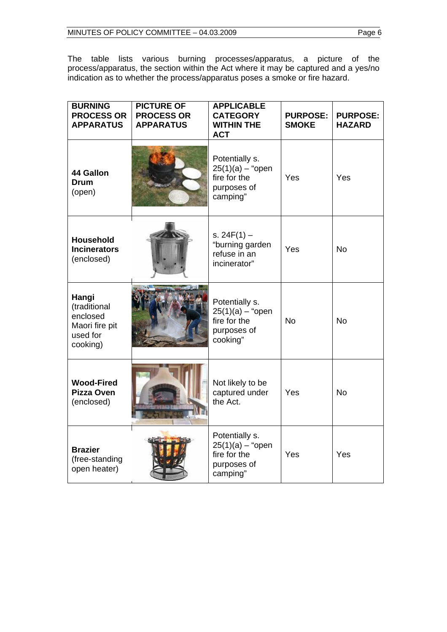The table lists various burning processes/apparatus, a picture of the process/apparatus, the section within the Act where it may be captured and a yes/no indication as to whether the process/apparatus poses a smoke or fire hazard.

| <b>BURNING</b><br><b>PROCESS OR</b><br><b>APPARATUS</b>                     | <b>PICTURE OF</b><br><b>PROCESS OR</b><br><b>APPARATUS</b> | <b>APPLICABLE</b><br><b>CATEGORY</b><br><b>WITHIN THE</b><br><b>ACT</b>         | <b>PURPOSE:</b><br><b>SMOKE</b> | <b>PURPOSE:</b><br><b>HAZARD</b> |
|-----------------------------------------------------------------------------|------------------------------------------------------------|---------------------------------------------------------------------------------|---------------------------------|----------------------------------|
| 44 Gallon<br><b>Drum</b><br>(open)                                          |                                                            | Potentially s.<br>$25(1)(a) -$ "open<br>fire for the<br>purposes of<br>camping" | Yes                             | Yes                              |
| <b>Household</b><br><b>Incinerators</b><br>(enclosed)                       |                                                            | s. $24F(1) -$<br>"burning garden<br>refuse in an<br>incinerator"                | Yes                             | <b>No</b>                        |
| Hangi<br>(traditional<br>enclosed<br>Maori fire pit<br>used for<br>cooking) |                                                            | Potentially s.<br>$25(1)(a) -$ "open<br>fire for the<br>purposes of<br>cooking" | <b>No</b>                       | <b>No</b>                        |
| <b>Wood-Fired</b><br><b>Pizza Oven</b><br>(enclosed)                        |                                                            | Not likely to be<br>captured under<br>the Act.                                  | Yes                             | <b>No</b>                        |
| <b>Brazier</b><br>(free-standing<br>open heater)                            |                                                            | Potentially s.<br>$25(1)(a) -$ "open<br>fire for the<br>purposes of<br>camping" | Yes                             | Yes                              |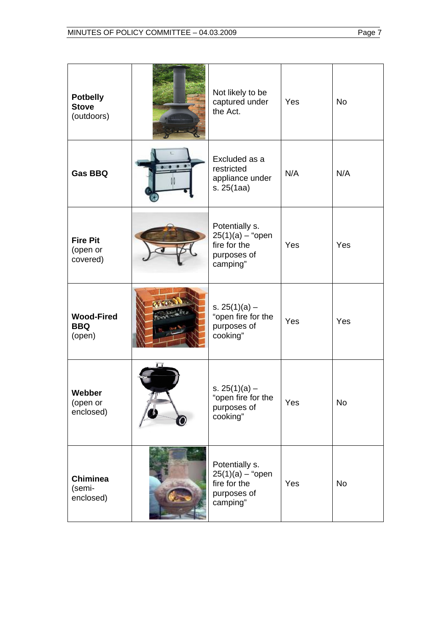| <b>Potbelly</b><br><b>Stove</b><br>(outdoors) | Not likely to be<br>captured under<br>the Act.                                  | Yes | <b>No</b> |
|-----------------------------------------------|---------------------------------------------------------------------------------|-----|-----------|
| <b>Gas BBQ</b>                                | Excluded as a<br>restricted<br>appliance under<br>s. 25(1aa)                    | N/A | N/A       |
| <b>Fire Pit</b><br>(open or<br>covered)       | Potentially s.<br>$25(1)(a) -$ "open<br>fire for the<br>purposes of<br>camping" | Yes | Yes       |
| <b>Wood-Fired</b><br><b>BBQ</b><br>(open)     | s. $25(1)(a)$ –<br>"open fire for the<br>purposes of<br>cooking"                | Yes | Yes       |
| Webber<br>(open or<br>enclosed)               | s. $25(1)(a)$ –<br>"open fire for the<br>purposes of<br>cooking"                | Yes | No        |
| <b>Chiminea</b><br>(semi-<br>enclosed)        | Potentially s.<br>$25(1)(a) -$ "open<br>fire for the<br>purposes of<br>camping" | Yes | <b>No</b> |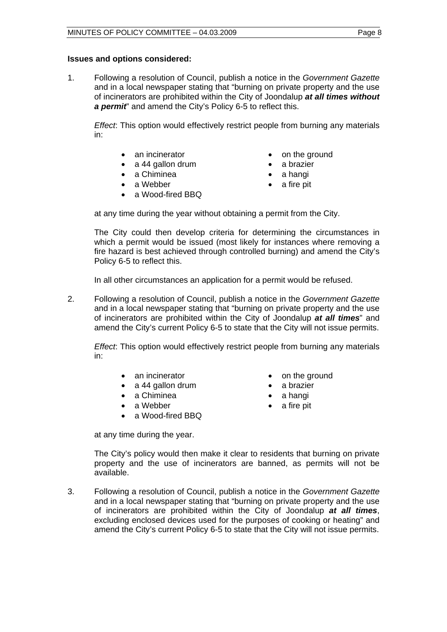#### **Issues and options considered:**

1. Following a resolution of Council, publish a notice in the *Government Gazette* and in a local newspaper stating that "burning on private property and the use of incinerators are prohibited within the City of Joondalup *at all times without a permit*" and amend the City's Policy 6-5 to reflect this.

*Effect*: This option would effectively restrict people from burning any materials in:

- 
- a 44 gallon drum a brazier
- a Chiminea **•** a hangi
- a Webber a fire pit
- a Wood-fired BBO
- an incinerator **•** on the ground
	-
	-
	-

at any time during the year without obtaining a permit from the City.

 The City could then develop criteria for determining the circumstances in which a permit would be issued (most likely for instances where removing a fire hazard is best achieved through controlled burning) and amend the City's Policy 6-5 to reflect this.

In all other circumstances an application for a permit would be refused.

2. Following a resolution of Council, publish a notice in the *Government Gazette* and in a local newspaper stating that "burning on private property and the use of incinerators are prohibited within the City of Joondalup *at all times*" and amend the City's current Policy 6-5 to state that the City will not issue permits.

*Effect*: This option would effectively restrict people from burning any materials in:

- an incinerator **•** on the ground
- a 44 gallon drum a brazier
- a Chiminea a hangi
- a Webber a fire pit
- a Wood-fired BBQ

- 
- 
- 

at any time during the year.

The City's policy would then make it clear to residents that burning on private property and the use of incinerators are banned, as permits will not be available.

3. Following a resolution of Council, publish a notice in the *Government Gazette* and in a local newspaper stating that "burning on private property and the use of incinerators are prohibited within the City of Joondalup *at all times*, excluding enclosed devices used for the purposes of cooking or heating" and amend the City's current Policy 6-5 to state that the City will not issue permits.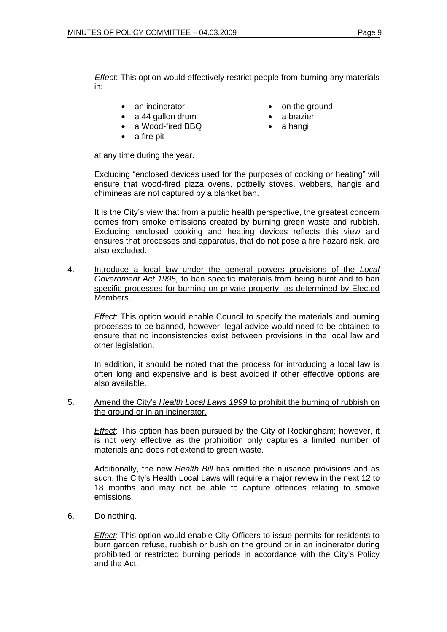*Effect*: This option would effectively restrict people from burning any materials in:

- 
- a 44 gallon drum a brazier
- a Wood-fired BBQ a hangi
- a fire pit
- an incinerator **•** on the ground
	-
	-

at any time during the year.

 Excluding "enclosed devices used for the purposes of cooking or heating" will ensure that wood-fired pizza ovens, potbelly stoves, webbers, hangis and chimineas are not captured by a blanket ban.

 It is the City's view that from a public health perspective, the greatest concern comes from smoke emissions created by burning green waste and rubbish. Excluding enclosed cooking and heating devices reflects this view and ensures that processes and apparatus, that do not pose a fire hazard risk, are also excluded.

4. Introduce a local law under the general powers provisions of the *Local Government Act 1995,* to ban specific materials from being burnt and to ban specific processes for burning on private property, as determined by Elected Members.

*Effect*: This option would enable Council to specify the materials and burning processes to be banned, however, legal advice would need to be obtained to ensure that no inconsistencies exist between provisions in the local law and other legislation.

In addition, it should be noted that the process for introducing a local law is often long and expensive and is best avoided if other effective options are also available.

5. Amend the City's *Health Local Laws 1999* to prohibit the burning of rubbish on the ground or in an incinerator.

*Effect*: This option has been pursued by the City of Rockingham; however, it is not very effective as the prohibition only captures a limited number of materials and does not extend to green waste.

 Additionally, the new *Health Bill* has omitted the nuisance provisions and as such, the City's Health Local Laws will require a major review in the next 12 to 18 months and may not be able to capture offences relating to smoke emissions.

6. Do nothing.

*Effect:* This option would enable City Officers to issue permits for residents to burn garden refuse, rubbish or bush on the ground or in an incinerator during prohibited or restricted burning periods in accordance with the City's Policy and the Act.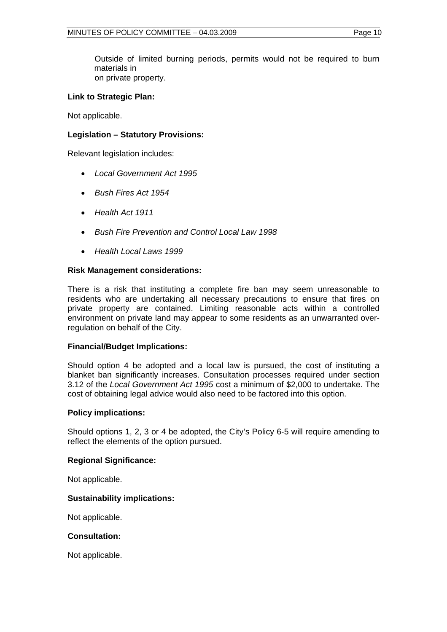Outside of limited burning periods, permits would not be required to burn materials in on private property.

#### **Link to Strategic Plan:**

Not applicable.

#### **Legislation – Statutory Provisions:**

Relevant legislation includes:

- *Local Government Act 1995*
- *Bush Fires Act 1954*
- *Health Act 1911*
- *Bush Fire Prevention and Control Local Law 1998*
- *Health Local Laws 1999*

#### **Risk Management considerations:**

There is a risk that instituting a complete fire ban may seem unreasonable to residents who are undertaking all necessary precautions to ensure that fires on private property are contained. Limiting reasonable acts within a controlled environment on private land may appear to some residents as an unwarranted overregulation on behalf of the City.

#### **Financial/Budget Implications:**

Should option 4 be adopted and a local law is pursued, the cost of instituting a blanket ban significantly increases. Consultation processes required under section 3.12 of the *Local Government Act 1995* cost a minimum of \$2,000 to undertake. The cost of obtaining legal advice would also need to be factored into this option.

#### **Policy implications:**

Should options 1, 2, 3 or 4 be adopted, the City's Policy 6-5 will require amending to reflect the elements of the option pursued.

#### **Regional Significance:**

Not applicable.

#### **Sustainability implications:**

Not applicable.

#### **Consultation:**

Not applicable.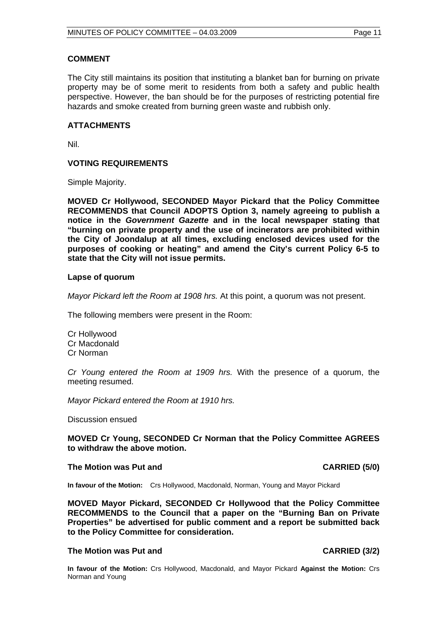#### **COMMENT**

The City still maintains its position that instituting a blanket ban for burning on private property may be of some merit to residents from both a safety and public health perspective. However, the ban should be for the purposes of restricting potential fire hazards and smoke created from burning green waste and rubbish only.

#### **ATTACHMENTS**

Nil.

#### **VOTING REQUIREMENTS**

Simple Majority.

**MOVED Cr Hollywood, SECONDED Mayor Pickard that the Policy Committee RECOMMENDS that Council ADOPTS Option 3, namely agreeing to publish a notice in the** *Government Gazette* **and in the local newspaper stating that "burning on private property and the use of incinerators are prohibited within the City of Joondalup at all times, excluding enclosed devices used for the purposes of cooking or heating" and amend the City's current Policy 6-5 to state that the City will not issue permits.** 

#### **Lapse of quorum**

*Mayor Pickard left the Room at 1908 hrs.* At this point, a quorum was not present.

The following members were present in the Room:

Cr Hollywood Cr Macdonald Cr Norman

*Cr Young entered the Room at 1909 hrs.* With the presence of a quorum, the meeting resumed.

*Mayor Pickard entered the Room at 1910 hrs.* 

Discussion ensued

**MOVED Cr Young, SECONDED Cr Norman that the Policy Committee AGREES to withdraw the above motion.** 

#### **The Motion was Put and CARRIED (5/0) CARRIED (5/0)**

**In favour of the Motion:** Crs Hollywood, Macdonald, Norman, Young and Mayor Pickard

**MOVED Mayor Pickard, SECONDED Cr Hollywood that the Policy Committee RECOMMENDS to the Council that a paper on the "Burning Ban on Private Properties" be advertised for public comment and a report be submitted back to the Policy Committee for consideration.** 

#### The Motion was Put and **CARRIED** (3/2)

**In favour of the Motion:** Crs Hollywood, Macdonald, and Mayor Pickard **Against the Motion:** Crs Norman and Young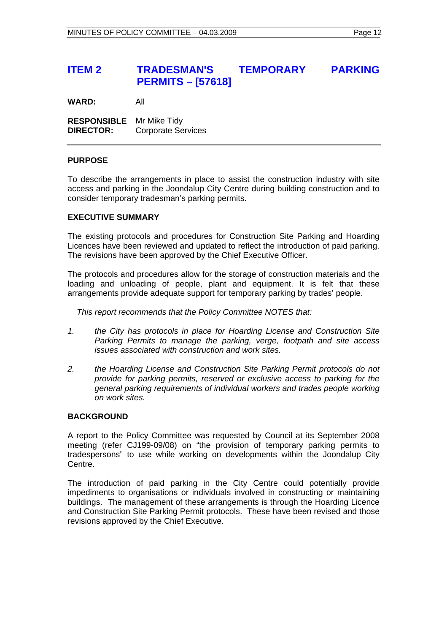# **ITEM 2 TRADESMAN'S TEMPORARY PARKING PERMITS – [57618]**

**WARD:** All

**RESPONSIBLE** Mr Mike Tidy **DIRECTOR:** Corporate Services

#### **PURPOSE**

To describe the arrangements in place to assist the construction industry with site access and parking in the Joondalup City Centre during building construction and to consider temporary tradesman's parking permits.

#### **EXECUTIVE SUMMARY**

The existing protocols and procedures for Construction Site Parking and Hoarding Licences have been reviewed and updated to reflect the introduction of paid parking. The revisions have been approved by the Chief Executive Officer.

The protocols and procedures allow for the storage of construction materials and the loading and unloading of people, plant and equipment. It is felt that these arrangements provide adequate support for temporary parking by trades' people.

 *This report recommends that the Policy Committee NOTES that:* 

- *1. the City has protocols in place for Hoarding License and Construction Site Parking Permits to manage the parking, verge, footpath and site access issues associated with construction and work sites.*
- *2. the Hoarding License and Construction Site Parking Permit protocols do not provide for parking permits, reserved or exclusive access to parking for the general parking requirements of individual workers and trades people working on work sites.*

#### **BACKGROUND**

A report to the Policy Committee was requested by Council at its September 2008 meeting (refer CJ199-09/08) on "the provision of temporary parking permits to tradespersons" to use while working on developments within the Joondalup City Centre.

The introduction of paid parking in the City Centre could potentially provide impediments to organisations or individuals involved in constructing or maintaining buildings. The management of these arrangements is through the Hoarding Licence and Construction Site Parking Permit protocols. These have been revised and those revisions approved by the Chief Executive.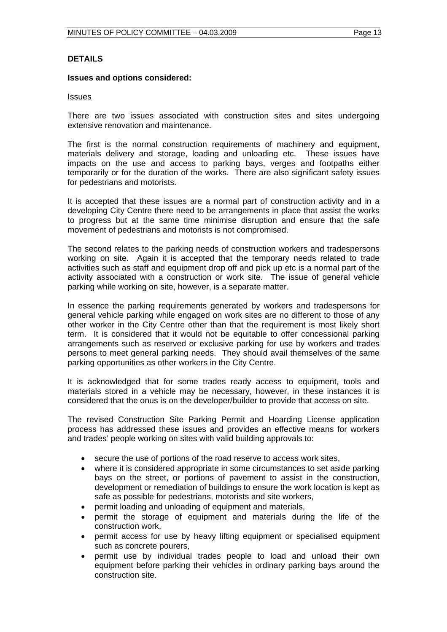#### **DETAILS**

#### **Issues and options considered:**

#### Issues

There are two issues associated with construction sites and sites undergoing extensive renovation and maintenance.

The first is the normal construction requirements of machinery and equipment, materials delivery and storage, loading and unloading etc. These issues have impacts on the use and access to parking bays, verges and footpaths either temporarily or for the duration of the works. There are also significant safety issues for pedestrians and motorists.

It is accepted that these issues are a normal part of construction activity and in a developing City Centre there need to be arrangements in place that assist the works to progress but at the same time minimise disruption and ensure that the safe movement of pedestrians and motorists is not compromised.

The second relates to the parking needs of construction workers and tradespersons working on site. Again it is accepted that the temporary needs related to trade activities such as staff and equipment drop off and pick up etc is a normal part of the activity associated with a construction or work site. The issue of general vehicle parking while working on site, however, is a separate matter.

In essence the parking requirements generated by workers and tradespersons for general vehicle parking while engaged on work sites are no different to those of any other worker in the City Centre other than that the requirement is most likely short term. It is considered that it would not be equitable to offer concessional parking arrangements such as reserved or exclusive parking for use by workers and trades persons to meet general parking needs. They should avail themselves of the same parking opportunities as other workers in the City Centre.

It is acknowledged that for some trades ready access to equipment, tools and materials stored in a vehicle may be necessary, however, in these instances it is considered that the onus is on the developer/builder to provide that access on site.

The revised Construction Site Parking Permit and Hoarding License application process has addressed these issues and provides an effective means for workers and trades' people working on sites with valid building approvals to:

- secure the use of portions of the road reserve to access work sites,
- where it is considered appropriate in some circumstances to set aside parking bays on the street, or portions of pavement to assist in the construction, development or remediation of buildings to ensure the work location is kept as safe as possible for pedestrians, motorists and site workers,
- permit loading and unloading of equipment and materials,
- permit the storage of equipment and materials during the life of the construction work,
- permit access for use by heavy lifting equipment or specialised equipment such as concrete pourers,
- permit use by individual trades people to load and unload their own equipment before parking their vehicles in ordinary parking bays around the construction site.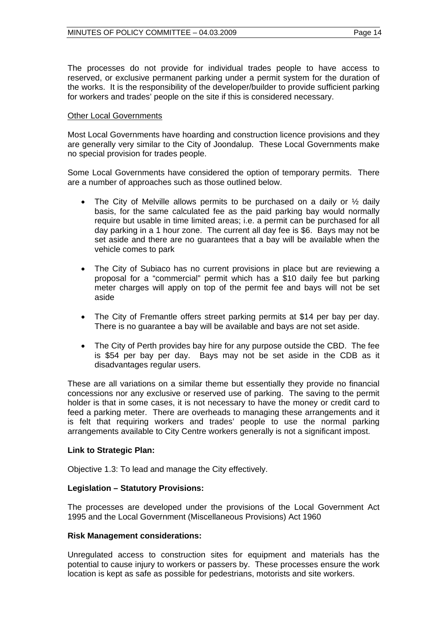The processes do not provide for individual trades people to have access to reserved, or exclusive permanent parking under a permit system for the duration of the works. It is the responsibility of the developer/builder to provide sufficient parking for workers and trades' people on the site if this is considered necessary.

#### Other Local Governments

Most Local Governments have hoarding and construction licence provisions and they are generally very similar to the City of Joondalup. These Local Governments make no special provision for trades people.

Some Local Governments have considered the option of temporary permits. There are a number of approaches such as those outlined below.

- The City of Melville allows permits to be purchased on a daily or  $\frac{1}{2}$  daily basis, for the same calculated fee as the paid parking bay would normally require but usable in time limited areas; i.e. a permit can be purchased for all day parking in a 1 hour zone. The current all day fee is \$6. Bays may not be set aside and there are no guarantees that a bay will be available when the vehicle comes to park
- The City of Subiaco has no current provisions in place but are reviewing a proposal for a "commercial" permit which has a \$10 daily fee but parking meter charges will apply on top of the permit fee and bays will not be set aside
- The City of Fremantle offers street parking permits at \$14 per bay per day. There is no guarantee a bay will be available and bays are not set aside.
- The City of Perth provides bay hire for any purpose outside the CBD. The fee is \$54 per bay per day. Bays may not be set aside in the CDB as it disadvantages regular users.

These are all variations on a similar theme but essentially they provide no financial concessions nor any exclusive or reserved use of parking. The saving to the permit holder is that in some cases, it is not necessary to have the money or credit card to feed a parking meter. There are overheads to managing these arrangements and it is felt that requiring workers and trades' people to use the normal parking arrangements available to City Centre workers generally is not a significant impost.

#### **Link to Strategic Plan:**

Objective 1.3: To lead and manage the City effectively.

#### **Legislation – Statutory Provisions:**

The processes are developed under the provisions of the Local Government Act 1995 and the Local Government (Miscellaneous Provisions) Act 1960

#### **Risk Management considerations:**

Unregulated access to construction sites for equipment and materials has the potential to cause injury to workers or passers by. These processes ensure the work location is kept as safe as possible for pedestrians, motorists and site workers.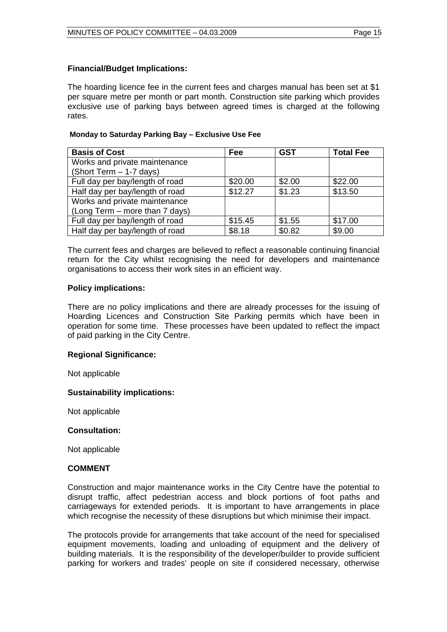#### **Financial/Budget Implications:**

The hoarding licence fee in the current fees and charges manual has been set at \$1 per square metre per month or part month. Construction site parking which provides exclusive use of parking bays between agreed times is charged at the following rates.

#### **Monday to Saturday Parking Bay – Exclusive Use Fee**

| <b>Basis of Cost</b>            | Fee     | <b>GST</b> | <b>Total Fee</b> |
|---------------------------------|---------|------------|------------------|
| Works and private maintenance   |         |            |                  |
| (Short Term - 1-7 days)         |         |            |                  |
| Full day per bay/length of road | \$20.00 | \$2.00     | \$22.00          |
| Half day per bay/length of road | \$12.27 | \$1.23     | \$13.50          |
| Works and private maintenance   |         |            |                  |
| (Long Term – more than 7 days)  |         |            |                  |
| Full day per bay/length of road | \$15.45 | \$1.55     | \$17.00          |
| Half day per bay/length of road | \$8.18  | \$0.82     | \$9.00           |

The current fees and charges are believed to reflect a reasonable continuing financial return for the City whilst recognising the need for developers and maintenance organisations to access their work sites in an efficient way.

#### **Policy implications:**

There are no policy implications and there are already processes for the issuing of Hoarding Licences and Construction Site Parking permits which have been in operation for some time. These processes have been updated to reflect the impact of paid parking in the City Centre.

#### **Regional Significance:**

Not applicable

#### **Sustainability implications:**

Not applicable

#### **Consultation:**

Not applicable

#### **COMMENT**

Construction and major maintenance works in the City Centre have the potential to disrupt traffic, affect pedestrian access and block portions of foot paths and carriageways for extended periods. It is important to have arrangements in place which recognise the necessity of these disruptions but which minimise their impact.

The protocols provide for arrangements that take account of the need for specialised equipment movements, loading and unloading of equipment and the delivery of building materials. It is the responsibility of the developer/builder to provide sufficient parking for workers and trades' people on site if considered necessary, otherwise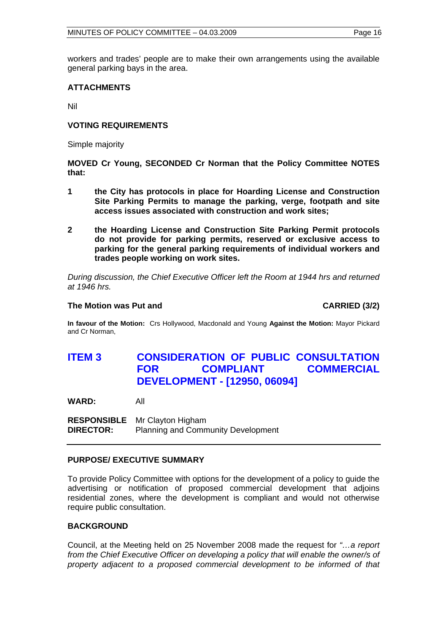workers and trades' people are to make their own arrangements using the available general parking bays in the area.

#### **ATTACHMENTS**

Nil

#### **VOTING REQUIREMENTS**

Simple majority

**MOVED Cr Young, SECONDED Cr Norman that the Policy Committee NOTES that:** 

- **1 the City has protocols in place for Hoarding License and Construction Site Parking Permits to manage the parking, verge, footpath and site access issues associated with construction and work sites;**
- **2 the Hoarding License and Construction Site Parking Permit protocols do not provide for parking permits, reserved or exclusive access to parking for the general parking requirements of individual workers and trades people working on work sites.**

*During discussion, the Chief Executive Officer left the Room at 1944 hrs and returned at 1946 hrs.* 

#### **The Motion was Put and CARRIED (3/2) CARRIED (3/2)**

**In favour of the Motion:** Crs Hollywood, Macdonald and Young **Against the Motion:** Mayor Pickard and Cr Norman,

# **ITEM 3 CONSIDERATION OF PUBLIC CONSULTATION FOR COMPLIANT COMMERCIAL DEVELOPMENT - [12950, 06094]**

**WARD:** All

**RESPONSIBLE** Mr Clayton Higham **DIRECTOR:** Planning and Community Development

#### **PURPOSE/ EXECUTIVE SUMMARY**

To provide Policy Committee with options for the development of a policy to guide the advertising or notification of proposed commercial development that adjoins residential zones, where the development is compliant and would not otherwise require public consultation.

#### **BACKGROUND**

Council, at the Meeting held on 25 November 2008 made the request for *"…a report from the Chief Executive Officer on developing a policy that will enable the owner/s of property adjacent to a proposed commercial development to be informed of that*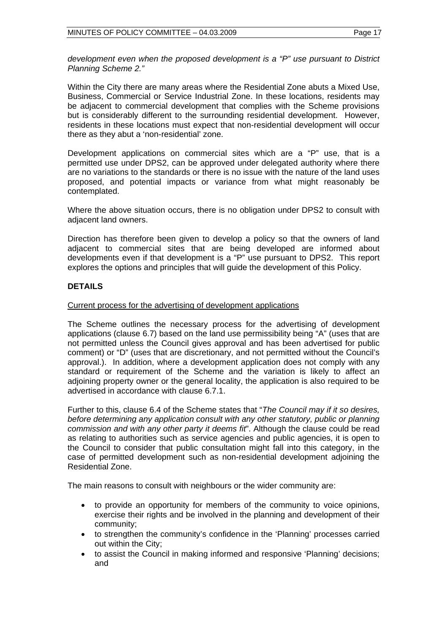*development even when the proposed development is a "P" use pursuant to District Planning Scheme 2."* 

Within the City there are many areas where the Residential Zone abuts a Mixed Use, Business, Commercial or Service Industrial Zone. In these locations, residents may be adjacent to commercial development that complies with the Scheme provisions but is considerably different to the surrounding residential development. However, residents in these locations must expect that non-residential development will occur there as they abut a 'non-residential' zone.

Development applications on commercial sites which are a "P" use, that is a permitted use under DPS2, can be approved under delegated authority where there are no variations to the standards or there is no issue with the nature of the land uses proposed, and potential impacts or variance from what might reasonably be contemplated.

Where the above situation occurs, there is no obligation under DPS2 to consult with adjacent land owners.

Direction has therefore been given to develop a policy so that the owners of land adjacent to commercial sites that are being developed are informed about developments even if that development is a "P" use pursuant to DPS2. This report explores the options and principles that will guide the development of this Policy.

#### **DETAILS**

#### Current process for the advertising of development applications

The Scheme outlines the necessary process for the advertising of development applications (clause 6.7) based on the land use permissibility being "A" (uses that are not permitted unless the Council gives approval and has been advertised for public comment) or "D" (uses that are discretionary, and not permitted without the Council's approval.). In addition, where a development application does not comply with any standard or requirement of the Scheme and the variation is likely to affect an adjoining property owner or the general locality, the application is also required to be advertised in accordance with clause 6.7.1.

Further to this, clause 6.4 of the Scheme states that "*The Council may if it so desires, before determining any application consult with any other statutory, public or planning commission and with any other party it deems fit*". Although the clause could be read as relating to authorities such as service agencies and public agencies, it is open to the Council to consider that public consultation might fall into this category, in the case of permitted development such as non-residential development adjoining the Residential Zone.

The main reasons to consult with neighbours or the wider community are:

- to provide an opportunity for members of the community to voice opinions, exercise their rights and be involved in the planning and development of their community;
- to strengthen the community's confidence in the 'Planning' processes carried out within the City;
- to assist the Council in making informed and responsive 'Planning' decisions; and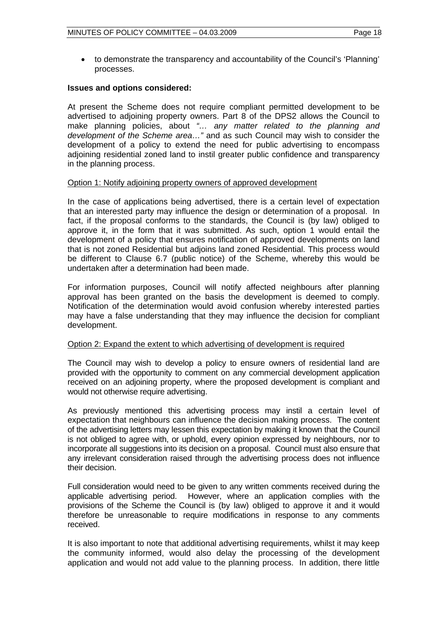• to demonstrate the transparency and accountability of the Council's 'Planning' processes.

#### **Issues and options considered:**

At present the Scheme does not require compliant permitted development to be advertised to adjoining property owners. Part 8 of the DPS2 allows the Council to make planning policies, about *"… any matter related to the planning and development of the Scheme area…"* and as such Council may wish to consider the development of a policy to extend the need for public advertising to encompass adjoining residential zoned land to instil greater public confidence and transparency in the planning process.

#### Option 1: Notify adjoining property owners of approved development

In the case of applications being advertised, there is a certain level of expectation that an interested party may influence the design or determination of a proposal. In fact, if the proposal conforms to the standards, the Council is (by law) obliged to approve it, in the form that it was submitted. As such, option 1 would entail the development of a policy that ensures notification of approved developments on land that is not zoned Residential but adjoins land zoned Residential. This process would be different to Clause 6.7 (public notice) of the Scheme, whereby this would be undertaken after a determination had been made.

For information purposes, Council will notify affected neighbours after planning approval has been granted on the basis the development is deemed to comply. Notification of the determination would avoid confusion whereby interested parties may have a false understanding that they may influence the decision for compliant development.

#### Option 2: Expand the extent to which advertising of development is required

The Council may wish to develop a policy to ensure owners of residential land are provided with the opportunity to comment on any commercial development application received on an adjoining property, where the proposed development is compliant and would not otherwise require advertising.

As previously mentioned this advertising process may instil a certain level of expectation that neighbours can influence the decision making process. The content of the advertising letters may lessen this expectation by making it known that the Council is not obliged to agree with, or uphold, every opinion expressed by neighbours, nor to incorporate all suggestions into its decision on a proposal. Council must also ensure that any irrelevant consideration raised through the advertising process does not influence their decision.

Full consideration would need to be given to any written comments received during the applicable advertising period. However, where an application complies with the provisions of the Scheme the Council is (by law) obliged to approve it and it would therefore be unreasonable to require modifications in response to any comments received.

It is also important to note that additional advertising requirements, whilst it may keep the community informed, would also delay the processing of the development application and would not add value to the planning process. In addition, there little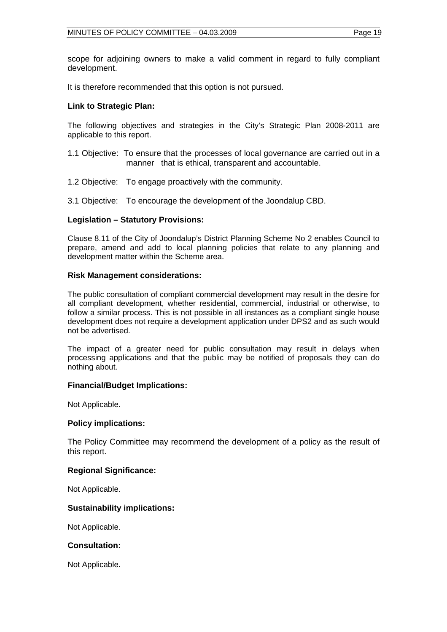scope for adjoining owners to make a valid comment in regard to fully compliant development.

It is therefore recommended that this option is not pursued.

#### **Link to Strategic Plan:**

The following objectives and strategies in the City's Strategic Plan 2008-2011 are applicable to this report.

- 1.1 Objective: To ensure that the processes of local governance are carried out in a manner that is ethical, transparent and accountable.
- 1.2 Objective: To engage proactively with the community.
- 3.1 Objective: To encourage the development of the Joondalup CBD.

#### **Legislation – Statutory Provisions:**

Clause 8.11 of the City of Joondalup's District Planning Scheme No 2 enables Council to prepare, amend and add to local planning policies that relate to any planning and development matter within the Scheme area.

#### **Risk Management considerations:**

The public consultation of compliant commercial development may result in the desire for all compliant development, whether residential, commercial, industrial or otherwise, to follow a similar process. This is not possible in all instances as a compliant single house development does not require a development application under DPS2 and as such would not be advertised.

The impact of a greater need for public consultation may result in delays when processing applications and that the public may be notified of proposals they can do nothing about.

#### **Financial/Budget Implications:**

Not Applicable.

#### **Policy implications:**

The Policy Committee may recommend the development of a policy as the result of this report.

#### **Regional Significance:**

Not Applicable.

#### **Sustainability implications:**

Not Applicable.

#### **Consultation:**

Not Applicable.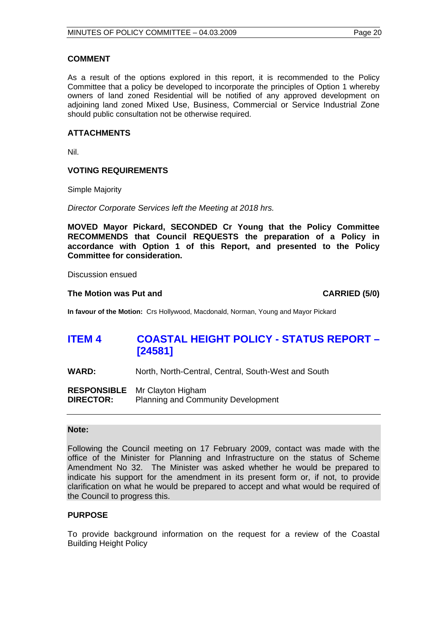#### **COMMENT**

As a result of the options explored in this report, it is recommended to the Policy Committee that a policy be developed to incorporate the principles of Option 1 whereby owners of land zoned Residential will be notified of any approved development on adjoining land zoned Mixed Use, Business, Commercial or Service Industrial Zone should public consultation not be otherwise required.

#### **ATTACHMENTS**

Nil.

#### **VOTING REQUIREMENTS**

Simple Majority

*Director Corporate Services left the Meeting at 2018 hrs.* 

**MOVED Mayor Pickard, SECONDED Cr Young that the Policy Committee RECOMMENDS that Council REQUESTS the preparation of a Policy in accordance with Option 1 of this Report, and presented to the Policy Committee for consideration.** 

Discussion ensued

#### The Motion was Put and **CARRIED** (5/0)

**In favour of the Motion:** Crs Hollywood, Macdonald, Norman, Young and Mayor Pickard

# **ITEM 4 COASTAL HEIGHT POLICY - STATUS REPORT – [24581]**

**WARD:** North, North-Central, Central, South-West and South

**RESPONSIBLE** Mr Clayton Higham **DIRECTOR:** Planning and Community Development

#### **Note:**

Following the Council meeting on 17 February 2009, contact was made with the office of the Minister for Planning and Infrastructure on the status of Scheme Amendment No 32. The Minister was asked whether he would be prepared to indicate his support for the amendment in its present form or, if not, to provide clarification on what he would be prepared to accept and what would be required of the Council to progress this.

#### **PURPOSE**

To provide background information on the request for a review of the Coastal Building Height Policy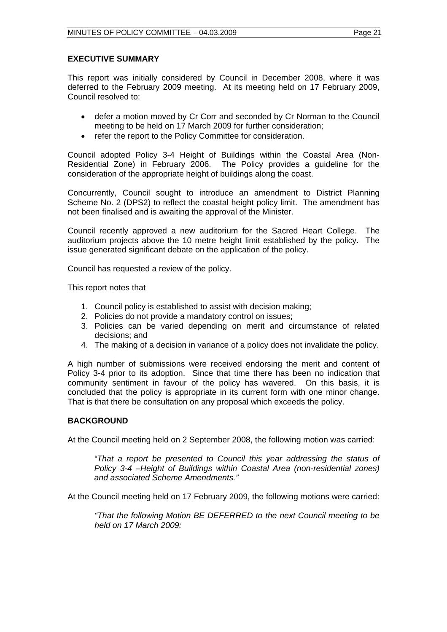#### **EXECUTIVE SUMMARY**

This report was initially considered by Council in December 2008, where it was deferred to the February 2009 meeting. At its meeting held on 17 February 2009, Council resolved to:

- defer a motion moved by Cr Corr and seconded by Cr Norman to the Council meeting to be held on 17 March 2009 for further consideration;
- refer the report to the Policy Committee for consideration.

Council adopted Policy 3-4 Height of Buildings within the Coastal Area (Non-The Policy provides a guideline for the consideration of the appropriate height of buildings along the coast.

Concurrently, Council sought to introduce an amendment to District Planning Scheme No. 2 (DPS2) to reflect the coastal height policy limit. The amendment has not been finalised and is awaiting the approval of the Minister.

Council recently approved a new auditorium for the Sacred Heart College. The auditorium projects above the 10 metre height limit established by the policy. The issue generated significant debate on the application of the policy.

Council has requested a review of the policy.

This report notes that

- 1. Council policy is established to assist with decision making;
- 2. Policies do not provide a mandatory control on issues;
- 3. Policies can be varied depending on merit and circumstance of related decisions; and
- 4. The making of a decision in variance of a policy does not invalidate the policy.

A high number of submissions were received endorsing the merit and content of Policy 3-4 prior to its adoption. Since that time there has been no indication that community sentiment in favour of the policy has wavered. On this basis, it is concluded that the policy is appropriate in its current form with one minor change. That is that there be consultation on any proposal which exceeds the policy.

#### **BACKGROUND**

At the Council meeting held on 2 September 2008, the following motion was carried:

*"That a report be presented to Council this year addressing the status of Policy 3-4 –Height of Buildings within Coastal Area (non-residential zones) and associated Scheme Amendments."* 

At the Council meeting held on 17 February 2009, the following motions were carried:

*"That the following Motion BE DEFERRED to the next Council meeting to be held on 17 March 2009:*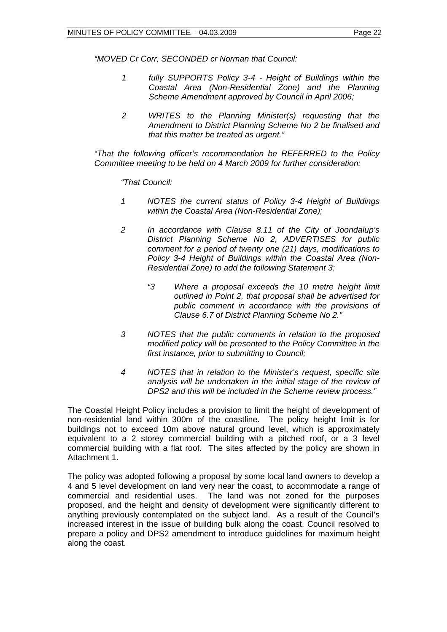*"MOVED Cr Corr, SECONDED cr Norman that Council:* 

- *1 fully SUPPORTS Policy 3-4 Height of Buildings within the Coastal Area (Non-Residential Zone) and the Planning Scheme Amendment approved by Council in April 2006;*
- *2 WRITES to the Planning Minister(s) requesting that the Amendment to District Planning Scheme No 2 be finalised and that this matter be treated as urgent."*

*"That the following officer's recommendation be REFERRED to the Policy Committee meeting to be held on 4 March 2009 for further consideration:* 

*"That Council:* 

- *1 NOTES the current status of Policy 3-4 Height of Buildings within the Coastal Area (Non-Residential Zone);*
- *2 In accordance with Clause 8.11 of the City of Joondalup's District Planning Scheme No 2, ADVERTISES for public comment for a period of twenty one (21) days, modifications to Policy 3-4 Height of Buildings within the Coastal Area (Non-Residential Zone) to add the following Statement 3:* 
	- *"3 Where a proposal exceeds the 10 metre height limit outlined in Point 2, that proposal shall be advertised for public comment in accordance with the provisions of Clause 6.7 of District Planning Scheme No 2."*
- *3 NOTES that the public comments in relation to the proposed modified policy will be presented to the Policy Committee in the first instance, prior to submitting to Council;*
- *4 NOTES that in relation to the Minister's request, specific site analysis will be undertaken in the initial stage of the review of DPS2 and this will be included in the Scheme review process."*

The Coastal Height Policy includes a provision to limit the height of development of non-residential land within 300m of the coastline. The policy height limit is for buildings not to exceed 10m above natural ground level, which is approximately equivalent to a 2 storey commercial building with a pitched roof, or a 3 level commercial building with a flat roof. The sites affected by the policy are shown in Attachment 1.

The policy was adopted following a proposal by some local land owners to develop a 4 and 5 level development on land very near the coast, to accommodate a range of commercial and residential uses. The land was not zoned for the purposes proposed, and the height and density of development were significantly different to anything previously contemplated on the subject land. As a result of the Council's increased interest in the issue of building bulk along the coast, Council resolved to prepare a policy and DPS2 amendment to introduce guidelines for maximum height along the coast.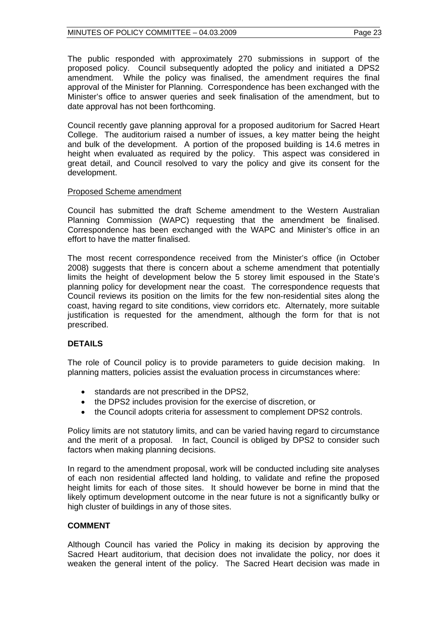The public responded with approximately 270 submissions in support of the proposed policy. Council subsequently adopted the policy and initiated a DPS2 amendment. While the policy was finalised, the amendment requires the final approval of the Minister for Planning. Correspondence has been exchanged with the Minister's office to answer queries and seek finalisation of the amendment, but to date approval has not been forthcoming.

Council recently gave planning approval for a proposed auditorium for Sacred Heart College. The auditorium raised a number of issues, a key matter being the height and bulk of the development. A portion of the proposed building is 14.6 metres in height when evaluated as required by the policy. This aspect was considered in great detail, and Council resolved to vary the policy and give its consent for the development.

#### Proposed Scheme amendment

Council has submitted the draft Scheme amendment to the Western Australian Planning Commission (WAPC) requesting that the amendment be finalised. Correspondence has been exchanged with the WAPC and Minister's office in an effort to have the matter finalised.

The most recent correspondence received from the Minister's office (in October 2008) suggests that there is concern about a scheme amendment that potentially limits the height of development below the 5 storey limit espoused in the State's planning policy for development near the coast. The correspondence requests that Council reviews its position on the limits for the few non-residential sites along the coast, having regard to site conditions, view corridors etc. Alternately, more suitable justification is requested for the amendment, although the form for that is not prescribed.

#### **DETAILS**

The role of Council policy is to provide parameters to guide decision making. In planning matters, policies assist the evaluation process in circumstances where:

- standards are not prescribed in the DPS2,
- the DPS2 includes provision for the exercise of discretion, or
- the Council adopts criteria for assessment to complement DPS2 controls.

Policy limits are not statutory limits, and can be varied having regard to circumstance and the merit of a proposal. In fact, Council is obliged by DPS2 to consider such factors when making planning decisions.

In regard to the amendment proposal, work will be conducted including site analyses of each non residential affected land holding, to validate and refine the proposed height limits for each of those sites. It should however be borne in mind that the likely optimum development outcome in the near future is not a significantly bulky or high cluster of buildings in any of those sites.

#### **COMMENT**

Although Council has varied the Policy in making its decision by approving the Sacred Heart auditorium, that decision does not invalidate the policy, nor does it weaken the general intent of the policy. The Sacred Heart decision was made in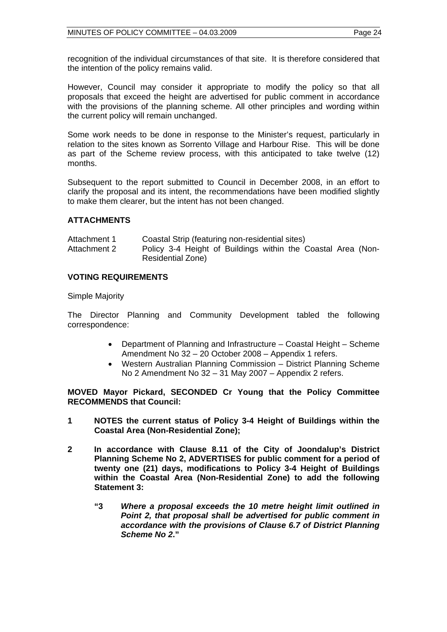recognition of the individual circumstances of that site. It is therefore considered that the intention of the policy remains valid.

However, Council may consider it appropriate to modify the policy so that all proposals that exceed the height are advertised for public comment in accordance with the provisions of the planning scheme. All other principles and wording within the current policy will remain unchanged.

Some work needs to be done in response to the Minister's request, particularly in relation to the sites known as Sorrento Village and Harbour Rise. This will be done as part of the Scheme review process, with this anticipated to take twelve (12) months.

Subsequent to the report submitted to Council in December 2008, in an effort to clarify the proposal and its intent, the recommendations have been modified slightly to make them clearer, but the intent has not been changed.

#### **ATTACHMENTS**

| Attachment 1 | Coastal Strip (featuring non-residential sites)              |
|--------------|--------------------------------------------------------------|
| Attachment 2 | Policy 3-4 Height of Buildings within the Coastal Area (Non- |
|              | Residential Zone)                                            |

#### **VOTING REQUIREMENTS**

Simple Majority

The Director Planning and Community Development tabled the following correspondence:

- Department of Planning and Infrastructure Coastal Height Scheme Amendment No 32 – 20 October 2008 – Appendix 1 refers.
- Western Australian Planning Commission District Planning Scheme No 2 Amendment No 32 – 31 May 2007 – Appendix 2 refers.

**MOVED Mayor Pickard, SECONDED Cr Young that the Policy Committee RECOMMENDS that Council:** 

- **1 NOTES the current status of Policy 3-4 Height of Buildings within the Coastal Area (Non-Residential Zone);**
- **2 In accordance with Clause 8.11 of the City of Joondalup's District Planning Scheme No 2, ADVERTISES for public comment for a period of twenty one (21) days, modifications to Policy 3-4 Height of Buildings within the Coastal Area (Non-Residential Zone) to add the following Statement 3:** 
	- **"3** *Where a proposal exceeds the 10 metre height limit outlined in Point 2, that proposal shall be advertised for public comment in accordance with the provisions of Clause 6.7 of District Planning Scheme No 2***."**